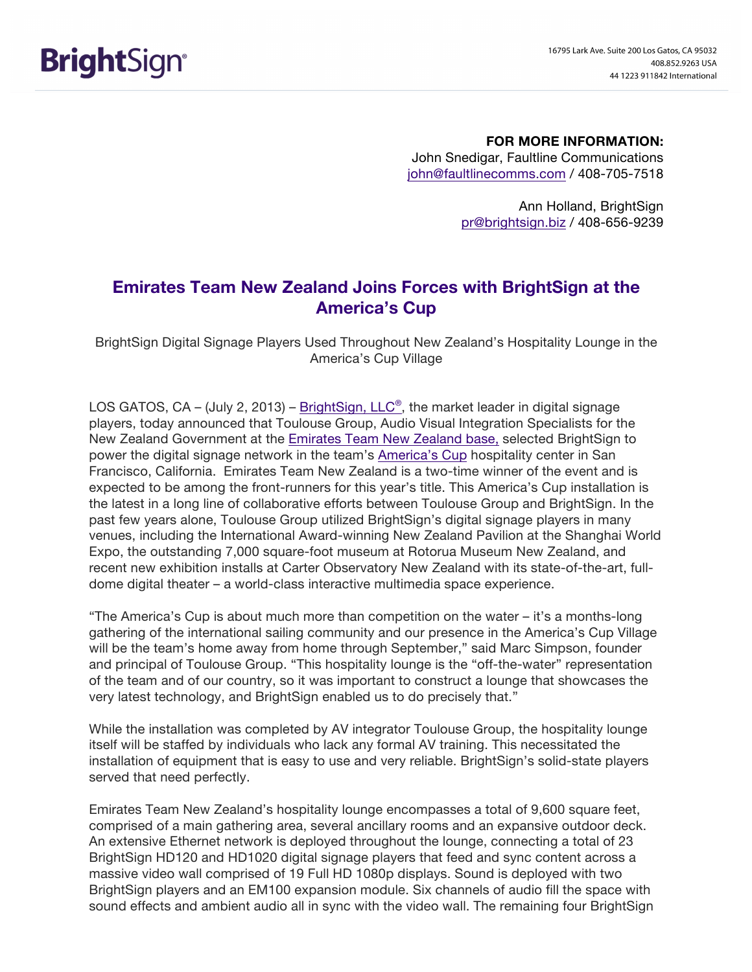## **FOR MORE INFORMATION:**

John Snedigar, Faultline Communications john@faultlinecomms.com / 408-705-7518

> Ann Holland, BrightSign pr@brightsign.biz / 408-656-9239

# **Emirates Team New Zealand Joins Forces with BrightSign at the America's Cup**

BrightSign Digital Signage Players Used Throughout New Zealand's Hospitality Lounge in the America's Cup Village

LOS GATOS, CA – (July 2, 2013) – BrightSign, LLC®, the market leader in digital signage players, today announced that Toulouse Group, Audio Visual Integration Specialists for the New Zealand Government at the Emirates Team New Zealand base, selected BrightSign to power the digital signage network in the team's America's Cup hospitality center in San Francisco, California. Emirates Team New Zealand is a two-time winner of the event and is expected to be among the front-runners for this year's title. This America's Cup installation is the latest in a long line of collaborative efforts between Toulouse Group and BrightSign. In the past few years alone, Toulouse Group utilized BrightSign's digital signage players in many venues, including the International Award-winning New Zealand Pavilion at the Shanghai World Expo, the outstanding 7,000 square-foot museum at Rotorua Museum New Zealand, and recent new exhibition installs at Carter Observatory New Zealand with its state-of-the-art, fulldome digital theater – a world-class interactive multimedia space experience.

"The America's Cup is about much more than competition on the water – it's a months-long gathering of the international sailing community and our presence in the America's Cup Village will be the team's home away from home through September," said Marc Simpson, founder and principal of Toulouse Group. "This hospitality lounge is the "off-the-water" representation of the team and of our country, so it was important to construct a lounge that showcases the very latest technology, and BrightSign enabled us to do precisely that."

While the installation was completed by AV integrator Toulouse Group, the hospitality lounge itself will be staffed by individuals who lack any formal AV training. This necessitated the installation of equipment that is easy to use and very reliable. BrightSign's solid-state players served that need perfectly.

Emirates Team New Zealand's hospitality lounge encompasses a total of 9,600 square feet, comprised of a main gathering area, several ancillary rooms and an expansive outdoor deck. An extensive Ethernet network is deployed throughout the lounge, connecting a total of 23 BrightSign HD120 and HD1020 digital signage players that feed and sync content across a massive video wall comprised of 19 Full HD 1080p displays. Sound is deployed with two BrightSign players and an EM100 expansion module. Six channels of audio fill the space with sound effects and ambient audio all in sync with the video wall. The remaining four BrightSign